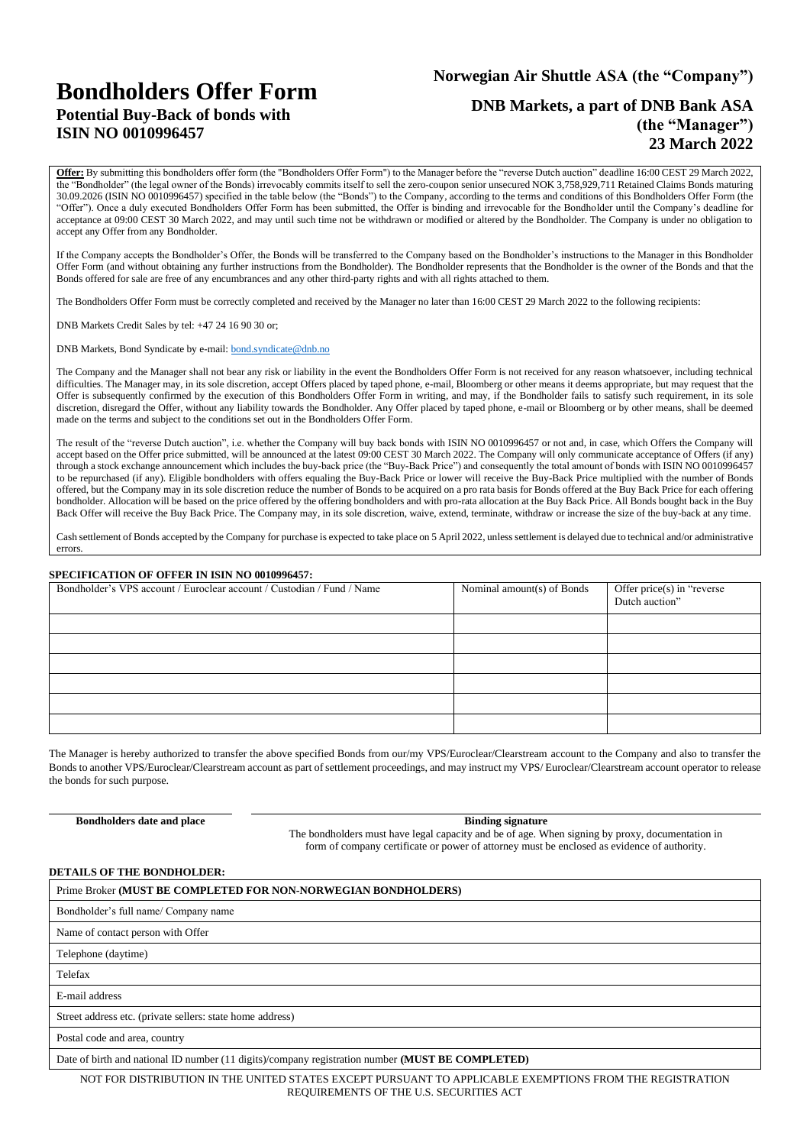# **Bondholders Offer Form Potential Buy-Back of bonds with**

**ISIN NO 0010996457**

## **Norwegian Air Shuttle ASA (the "Company")**

# **DNB Markets, a part of DNB Bank ASA (the "Manager") 23 March 2022**

**Offer:** By submitting this bondholders offer form (the "Bondholders Offer Form") to the Manager before the "reverse Dutch auction" deadline 16:00 CEST 29 March 2022, the "Bondholder" (the legal owner of the Bonds) irrevocably commits itself to sell the zero-coupon senior unsecured NOK 3,758,929,711 Retained Claims Bonds maturing 30.09.2026 (ISIN NO 0010996457) specified in the table below (the "Bonds") to the Company, according to the terms and conditions of this Bondholders Offer Form (the "Offer"). Once a duly executed Bondholders Offer Form has been submitted, the Offer is binding and irrevocable for the Bondholder until the Company's deadline for acceptance at 09:00 CEST 30 March 2022, and may until such time not be withdrawn or modified or altered by the Bondholder. The Company is under no obligation to accept any Offer from any Bondholder.

If the Company accepts the Bondholder's Offer, the Bonds will be transferred to the Company based on the Bondholder's instructions to the Manager in this Bondholder Offer Form (and without obtaining any further instructions from the Bondholder). The Bondholder represents that the Bondholder is the owner of the Bonds and that the Bonds offered for sale are free of any encumbrances and any other third-party rights and with all rights attached to them.

The Bondholders Offer Form must be correctly completed and received by the Manager no later than 16:00 CEST 29 March 2022 to the following recipients:

DNB Markets Credit Sales by tel: +47 24 16 90 30 or;

DNB Markets, Bond Syndicate by e-mail: [bond.syndicate@dnb.no](mailto:bond.syndicate@dnb.no)

The Company and the Manager shall not bear any risk or liability in the event the Bondholders Offer Form is not received for any reason whatsoever, including technical difficulties. The Manager may, in its sole discretion, accept Offers placed by taped phone, e-mail, Bloomberg or other means it deems appropriate, but may request that the Offer is subsequently confirmed by the execution of this Bondholders Offer Form in writing, and may, if the Bondholder fails to satisfy such requirement, in its sole discretion, disregard the Offer, without any liability towards the Bondholder. Any Offer placed by taped phone, e-mail or Bloomberg or by other means, shall be deemed made on the terms and subject to the conditions set out in the Bondholders Offer Form.

The result of the "reverse Dutch auction", i.e. whether the Company will buy back bonds with ISIN NO 0010996457 or not and, in case, which Offers the Company will accept based on the Offer price submitted, will be announced at the latest 09:00 CEST 30 March 2022. The Company will only communicate acceptance of Offers (if any) through a stock exchange announcement which includes the buy-back price (the "Buy-Back Price") and consequently the total amount of bonds with ISIN NO 0010996457 to be repurchased (if any). Eligible bondholders with offers equaling the Buy-Back Price or lower will receive the Buy-Back Price multiplied with the number of Bonds offered, but the Company may in its sole discretion reduce the number of Bonds to be acquired on a pro rata basis for Bonds offered at the Buy Back Price for each offering bondholder. Allocation will be based on the price offered by the offering bondholders and with pro-rata allocation at the Buy Back Price. All Bonds bought back in the Buy Back Offer will receive the Buy Back Price. The Company may, in its sole discretion, waive, extend, terminate, withdraw or increase the size of the buy-back at any time.

Cash settlement of Bonds accepted by the Company for purchase is expected to take place on 5 April 2022, unless settlement is delayed due to technical and/or administrative errors.

### **SPECIFICATION OF OFFER IN ISIN NO 001096457.**

| 31 ECIFICATION OF OFFER IN ISHWNO 0010220437.                          |                            |                                              |
|------------------------------------------------------------------------|----------------------------|----------------------------------------------|
| Bondholder's VPS account / Euroclear account / Custodian / Fund / Name | Nominal amount(s) of Bonds | Offer price(s) in "reverse<br>Dutch auction" |
|                                                                        |                            |                                              |
|                                                                        |                            |                                              |
|                                                                        |                            |                                              |
|                                                                        |                            |                                              |
|                                                                        |                            |                                              |
|                                                                        |                            |                                              |

The Manager is hereby authorized to transfer the above specified Bonds from our/my VPS/Euroclear/Clearstream account to the Company and also to transfer the Bonds to another VPS/Euroclear/Clearstream account as part of settlement proceedings, and may instruct my VPS/ Euroclear/Clearstream account operator to release the bonds for such purpose.

**Bondholders date and place Binding signature** 

The bondholders must have legal capacity and be of age. When signing by proxy, documentation in form of company certificate or power of attorney must be enclosed as evidence of authority.

### **DETAILS OF THE BONDHOLDER:**

| Prime Broker (MUST BE COMPLETED FOR NON-NORWEGIAN BONDHOLDERS)                                                  |
|-----------------------------------------------------------------------------------------------------------------|
| Bondholder's full name/ Company name                                                                            |
| Name of contact person with Offer                                                                               |
| Telephone (daytime)                                                                                             |
| Telefax                                                                                                         |
| E-mail address                                                                                                  |
| Street address etc. (private sellers: state home address)                                                       |
| Postal code and area, country                                                                                   |
| $\Gamma$ Deta of high and national $\Gamma$ number (11 digita)/company registration number (MHCT DE COMDI ETED) |

Date of birth and national ID number (11 digits)/company registration number **(MUST BE COMPLETED)**